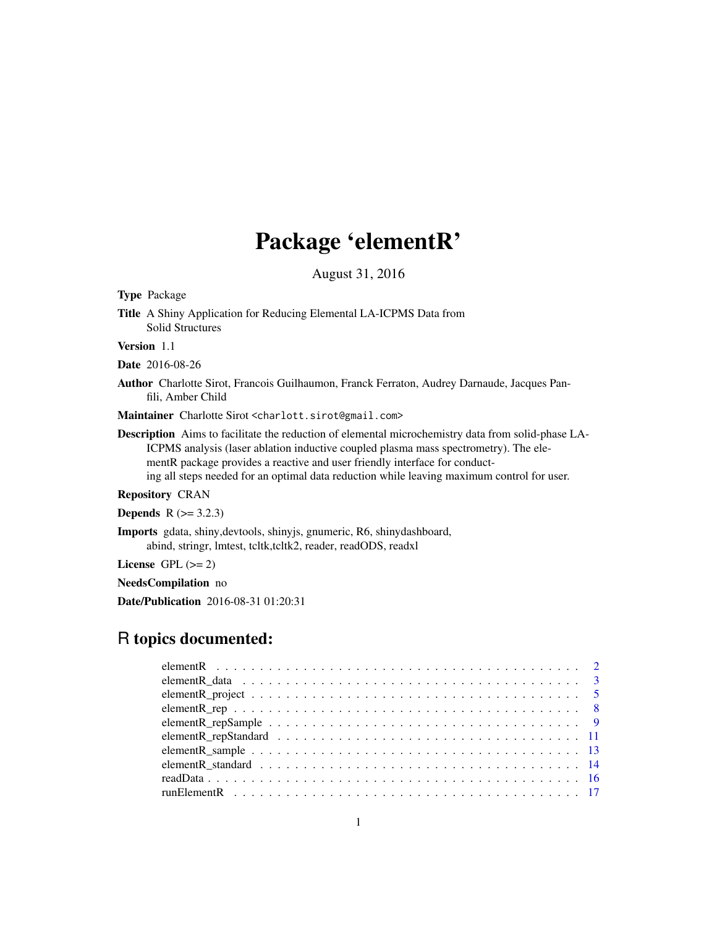## Package 'elementR'

August 31, 2016

Type Package

Title A Shiny Application for Reducing Elemental LA-ICPMS Data from Solid Structures

Version 1.1

Date 2016-08-26

Author Charlotte Sirot, Francois Guilhaumon, Franck Ferraton, Audrey Darnaude, Jacques Panfili, Amber Child

Maintainer Charlotte Sirot <charlott.sirot@gmail.com>

Description Aims to facilitate the reduction of elemental microchemistry data from solid-phase LA-ICPMS analysis (laser ablation inductive coupled plasma mass spectrometry). The elementR package provides a reactive and user friendly interface for conducting all steps needed for an optimal data reduction while leaving maximum control for user.

#### Repository CRAN

**Depends**  $R$  ( $> = 3.2.3$ )

Imports gdata, shiny,devtools, shinyjs, gnumeric, R6, shinydashboard, abind, stringr, lmtest, tcltk,tcltk2, reader, readODS, readxl

License GPL  $(>= 2)$ 

NeedsCompilation no

Date/Publication 2016-08-31 01:20:31

### R topics documented: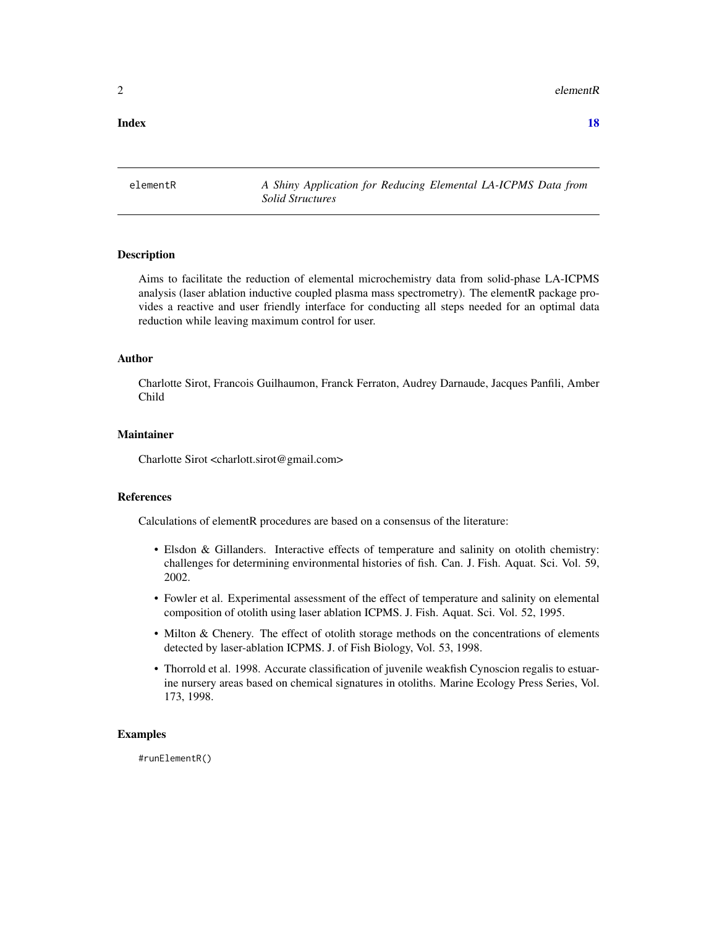<span id="page-1-0"></span> $2 \neq 2$ 

#### **Index** 2008 **[18](#page-17-0)**

elementR *A Shiny Application for Reducing Elemental LA-ICPMS Data from Solid Structures*

#### Description

Aims to facilitate the reduction of elemental microchemistry data from solid-phase LA-ICPMS analysis (laser ablation inductive coupled plasma mass spectrometry). The elementR package provides a reactive and user friendly interface for conducting all steps needed for an optimal data reduction while leaving maximum control for user.

#### Author

Charlotte Sirot, Francois Guilhaumon, Franck Ferraton, Audrey Darnaude, Jacques Panfili, Amber Child

#### Maintainer

Charlotte Sirot <charlott.sirot@gmail.com>

#### References

Calculations of elementR procedures are based on a consensus of the literature:

- Elsdon & Gillanders. Interactive effects of temperature and salinity on otolith chemistry: challenges for determining environmental histories of fish. Can. J. Fish. Aquat. Sci. Vol. 59, 2002.
- Fowler et al. Experimental assessment of the effect of temperature and salinity on elemental composition of otolith using laser ablation ICPMS. J. Fish. Aquat. Sci. Vol. 52, 1995.
- Milton & Chenery. The effect of otolith storage methods on the concentrations of elements detected by laser-ablation ICPMS. J. of Fish Biology, Vol. 53, 1998.
- Thorrold et al. 1998. Accurate classification of juvenile weakfish Cynoscion regalis to estuarine nursery areas based on chemical signatures in otoliths. Marine Ecology Press Series, Vol. 173, 1998.

#### Examples

#runElementR()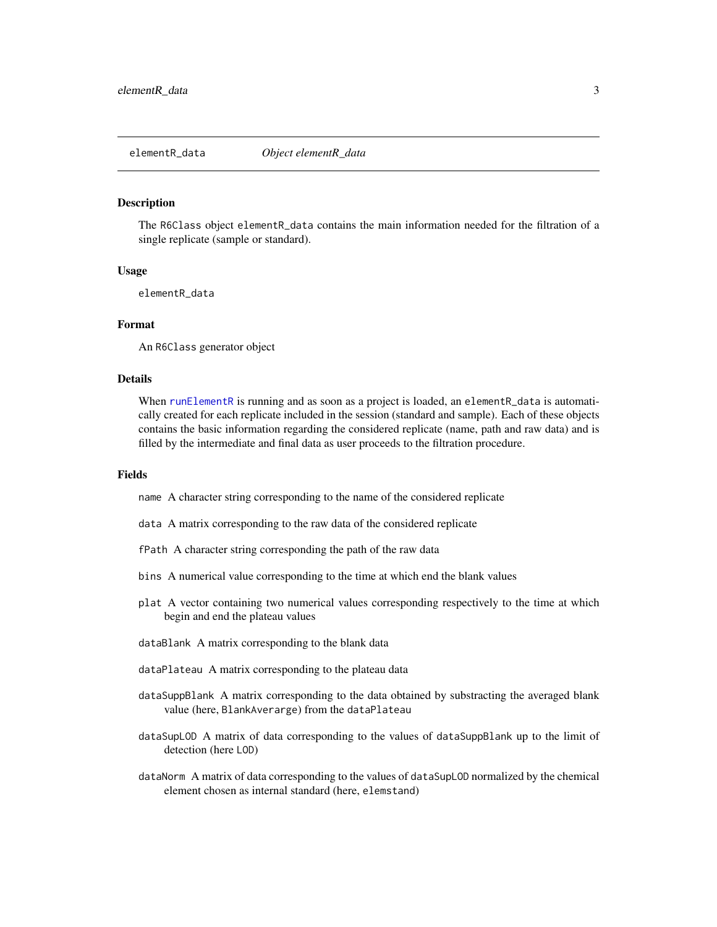#### <span id="page-2-1"></span><span id="page-2-0"></span>Description

The R6Class object elementR\_data contains the main information needed for the filtration of a single replicate (sample or standard).

#### Usage

elementR\_data

#### Format

An R6Class generator object

#### Details

When [runElementR](#page-16-1) is running and as soon as a project is loaded, an elementR\_data is automatically created for each replicate included in the session (standard and sample). Each of these objects contains the basic information regarding the considered replicate (name, path and raw data) and is filled by the intermediate and final data as user proceeds to the filtration procedure.

#### Fields

name A character string corresponding to the name of the considered replicate

- data A matrix corresponding to the raw data of the considered replicate
- fPath A character string corresponding the path of the raw data
- bins A numerical value corresponding to the time at which end the blank values
- plat A vector containing two numerical values corresponding respectively to the time at which begin and end the plateau values
- dataBlank A matrix corresponding to the blank data
- dataPlateau A matrix corresponding to the plateau data
- dataSuppBlank A matrix corresponding to the data obtained by substracting the averaged blank value (here, BlankAverarge) from the dataPlateau
- dataSupLOD A matrix of data corresponding to the values of dataSuppBlank up to the limit of detection (here LOD)
- dataNorm A matrix of data corresponding to the values of dataSupLOD normalized by the chemical element chosen as internal standard (here, elemstand)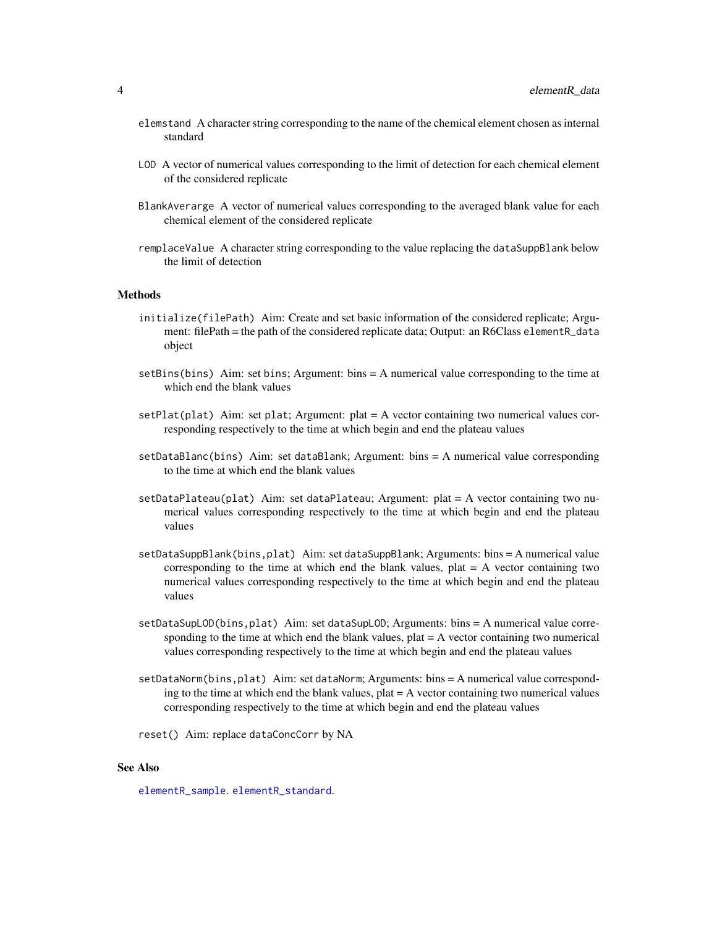- <span id="page-3-0"></span>elemstand A character string corresponding to the name of the chemical element chosen as internal standard
- LOD A vector of numerical values corresponding to the limit of detection for each chemical element of the considered replicate
- BlankAverarge A vector of numerical values corresponding to the averaged blank value for each chemical element of the considered replicate
- remplaceValue A character string corresponding to the value replacing the dataSuppBlank below the limit of detection

#### **Methods**

- initialize(filePath) Aim: Create and set basic information of the considered replicate; Argument: filePath = the path of the considered replicate data; Output: an R6Class elementR\_data object
- setBins(bins) Aim: set bins; Argument: bins = A numerical value corresponding to the time at which end the blank values
- $setFlat(plat)$  Aim: set plat; Argument: plat = A vector containing two numerical values corresponding respectively to the time at which begin and end the plateau values
- setDataBlanc(bins) Aim: set dataBlank; Argument: bins = A numerical value corresponding to the time at which end the blank values
- $setDataPlaceual(plat)$  Aim: set dataPlateau; Argument: plat = A vector containing two numerical values corresponding respectively to the time at which begin and end the plateau values
- setDataSuppBlank(bins,plat) Aim: set dataSuppBlank; Arguments: bins = A numerical value corresponding to the time at which end the blank values, plat = A vector containing two numerical values corresponding respectively to the time at which begin and end the plateau values
- setDataSupLOD(bins,plat) Aim: set dataSupLOD; Arguments: bins = A numerical value corresponding to the time at which end the blank values, plat = A vector containing two numerical values corresponding respectively to the time at which begin and end the plateau values
- setDataNorm(bins,plat) Aim: set dataNorm; Arguments: bins = A numerical value corresponding to the time at which end the blank values,  $plat = A$  vector containing two numerical values corresponding respectively to the time at which begin and end the plateau values
- reset() Aim: replace dataConcCorr by NA

#### See Also

[elementR\\_sample](#page-12-1). [elementR\\_standard](#page-13-1).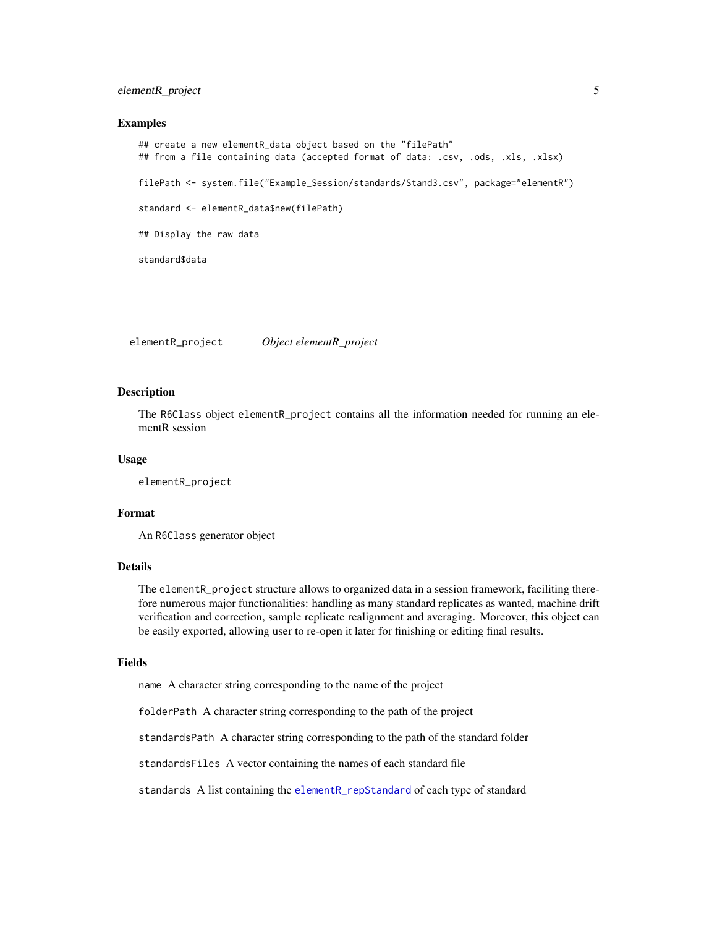#### <span id="page-4-0"></span>elementR\_project 5

#### Examples

```
## create a new elementR_data object based on the "filePath"
## from a file containing data (accepted format of data: .csv, .ods, .xls, .xlsx)
filePath <- system.file("Example_Session/standards/Stand3.csv", package="elementR")
standard <- elementR_data$new(filePath)
## Display the raw data
standard$data
```
elementR\_project *Object elementR\_project*

#### Description

The R6Class object elementR\_project contains all the information needed for running an elementR session

#### Usage

elementR\_project

#### Format

An R6Class generator object

#### Details

The elementR\_project structure allows to organized data in a session framework, faciliting therefore numerous major functionalities: handling as many standard replicates as wanted, machine drift verification and correction, sample replicate realignment and averaging. Moreover, this object can be easily exported, allowing user to re-open it later for finishing or editing final results.

#### Fields

name A character string corresponding to the name of the project

folderPath A character string corresponding to the path of the project

standardsPath A character string corresponding to the path of the standard folder

standardsFiles A vector containing the names of each standard file

standards A list containing the [elementR\\_repStandard](#page-10-1) of each type of standard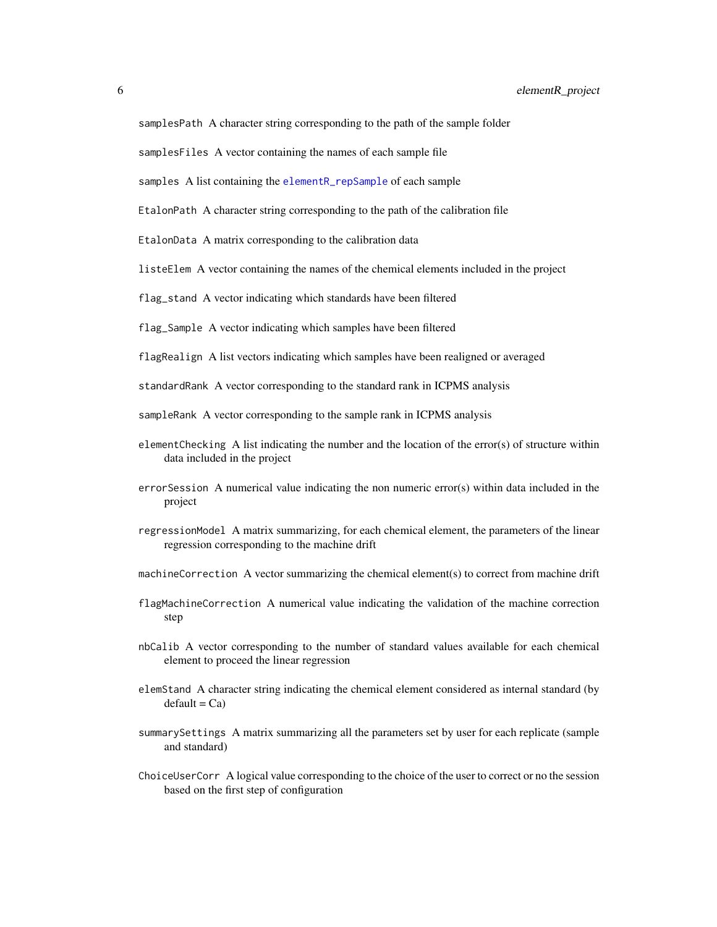<span id="page-5-0"></span>samplesPath A character string corresponding to the path of the sample folder

samplesFiles A vector containing the names of each sample file

samples A list containing the [elementR\\_repSample](#page-8-1) of each sample

EtalonPath A character string corresponding to the path of the calibration file

EtalonData A matrix corresponding to the calibration data

listeElem A vector containing the names of the chemical elements included in the project

flag\_stand A vector indicating which standards have been filtered

flag\_Sample A vector indicating which samples have been filtered

flagRealign A list vectors indicating which samples have been realigned or averaged

standardRank A vector corresponding to the standard rank in ICPMS analysis

sampleRank A vector corresponding to the sample rank in ICPMS analysis

- elementChecking A list indicating the number and the location of the error(s) of structure within data included in the project
- errorSession A numerical value indicating the non numeric error(s) within data included in the project
- regressionModel A matrix summarizing, for each chemical element, the parameters of the linear regression corresponding to the machine drift
- machineCorrection A vector summarizing the chemical element(s) to correct from machine drift
- flagMachineCorrection A numerical value indicating the validation of the machine correction step
- nbCalib A vector corresponding to the number of standard values available for each chemical element to proceed the linear regression
- elemStand A character string indicating the chemical element considered as internal standard (by  $default = Ca$
- summarySettings A matrix summarizing all the parameters set by user for each replicate (sample and standard)
- ChoiceUserCorr A logical value corresponding to the choice of the user to correct or no the session based on the first step of configuration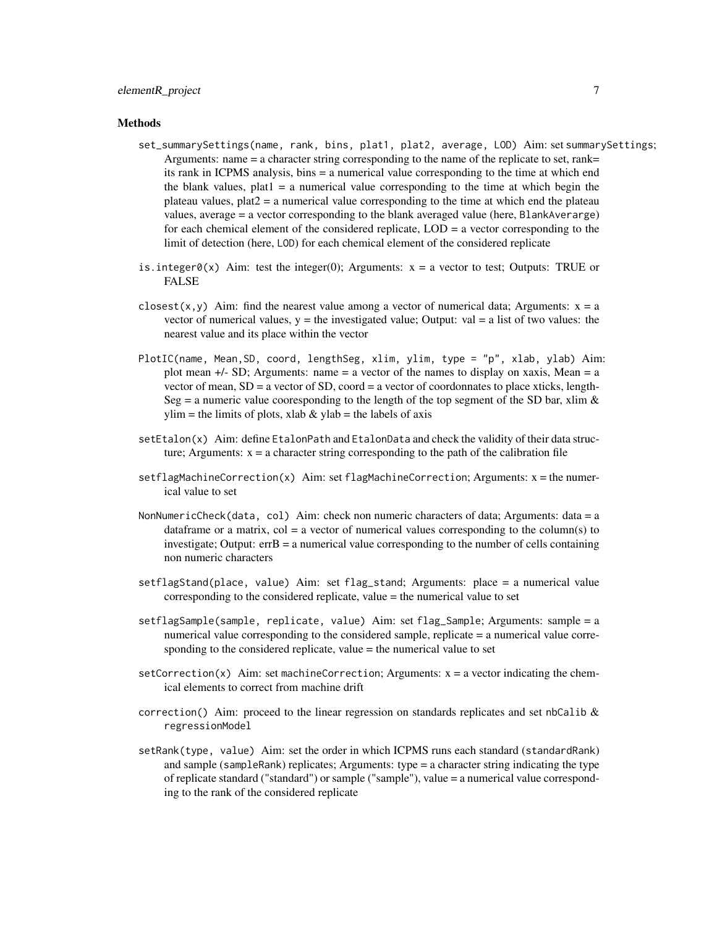#### Methods

- set\_summarySettings(name, rank, bins, plat1, plat2, average, LOD) Aim: set summarySettings; Arguments: name = a character string corresponding to the name of the replicate to set, rank= its rank in ICPMS analysis, bins = a numerical value corresponding to the time at which end the blank values,  $plat1 = a$  numerical value corresponding to the time at which begin the plateau values,  $plat2 = a$  numerical value corresponding to the time at which end the plateau values, average = a vector corresponding to the blank averaged value (here, BlankAverarge) for each chemical element of the considered replicate, LOD = a vector corresponding to the limit of detection (here, LOD) for each chemical element of the considered replicate
- is.integer0(x) Aim: test the integer(0); Arguments:  $x = a$  vector to test; Outputs: TRUE or FALSE
- closest(x,y) Aim: find the nearest value among a vector of numerical data; Arguments:  $x = a$ vector of numerical values,  $y =$  the investigated value; Output: val  $=$  a list of two values: the nearest value and its place within the vector
- PlotIC(name, Mean,SD, coord, lengthSeg, xlim, ylim, type = "p", xlab, ylab) Aim: plot mean  $+/-$  SD; Arguments: name = a vector of the names to display on xaxis, Mean = a vector of mean,  $SD = a$  vector of  $SD$ , coord  $= a$  vector of coordonnates to place xticks, length-Seg = a numeric value cooresponding to the length of the top segment of the SD bar, xlim  $\&$  $ylim$  = the limits of plots, xlab & ylab = the labels of axis
- setEtalon(x) Aim: define EtalonPath and EtalonData and check the validity of their data structure; Arguments:  $x = a$  character string corresponding to the path of the calibration file
- $setflagMachineCorrection(x)$  Aim: set flagMachineCorrection; Arguments:  $x =$  the numerical value to set
- NonNumericCheck(data, col) Aim: check non numeric characters of data; Arguments: data = a dataframe or a matrix,  $col = a$  vector of numerical values corresponding to the column(s) to investigate; Output: errB = a numerical value corresponding to the number of cells containing non numeric characters
- setflagStand(place, value) Aim: set flag\_stand; Arguments: place = a numerical value corresponding to the considered replicate, value = the numerical value to set
- setflagSample(sample, replicate, value) Aim: set flag\_Sample; Arguments: sample = a numerical value corresponding to the considered sample, replicate = a numerical value corresponding to the considered replicate, value = the numerical value to set
- $setCorrection(x)$  Aim: set machineCorrection; Arguments:  $x = a$  vector indicating the chemical elements to correct from machine drift
- correction() Aim: proceed to the linear regression on standards replicates and set nbCalib  $\&$ regressionModel
- setRank(type, value) Aim: set the order in which ICPMS runs each standard (standardRank) and sample (sampleRank) replicates; Arguments: type = a character string indicating the type of replicate standard ("standard") or sample ("sample"), value = a numerical value corresponding to the rank of the considered replicate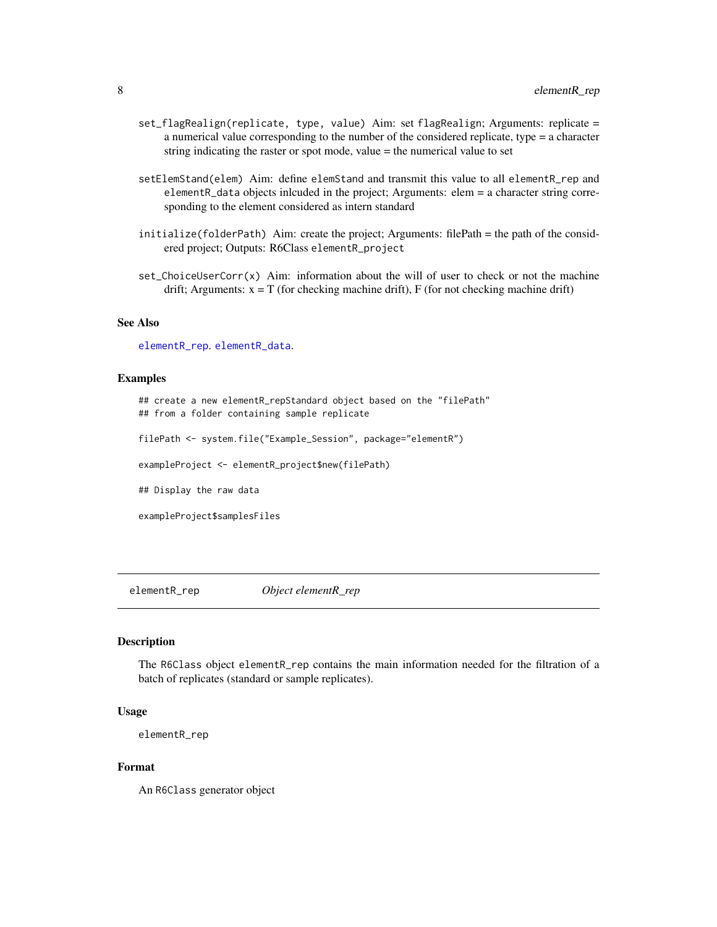- <span id="page-7-0"></span>set\_flagRealign(replicate, type, value) Aim: set flagRealign; Arguments: replicate = a numerical value corresponding to the number of the considered replicate, type = a character string indicating the raster or spot mode, value = the numerical value to set
- setElemStand(elem) Aim: define elemStand and transmit this value to all elementR\_rep and elementR\_data objects inlcuded in the project; Arguments: elem = a character string corresponding to the element considered as intern standard
- initialize(folderPath) Aim: create the project; Arguments: filePath = the path of the considered project; Outputs: R6Class elementR\_project
- set\_ChoiceUserCorr(x) Aim: information about the will of user to check or not the machine drift; Arguments:  $x = T$  (for checking machine drift), F (for not checking machine drift)

#### See Also

[elementR\\_rep](#page-7-1). [elementR\\_data](#page-2-1).

#### Examples

## create a new elementR\_repStandard object based on the "filePath" ## from a folder containing sample replicate

filePath <- system.file("Example\_Session", package="elementR")

exampleProject <- elementR\_project\$new(filePath)

## Display the raw data

exampleProject\$samplesFiles

<span id="page-7-1"></span>elementR\_rep *Object elementR\_rep*

#### Description

The R6Class object elementR\_rep contains the main information needed for the filtration of a batch of replicates (standard or sample replicates).

#### Usage

```
elementR_rep
```
#### Format

An R6Class generator object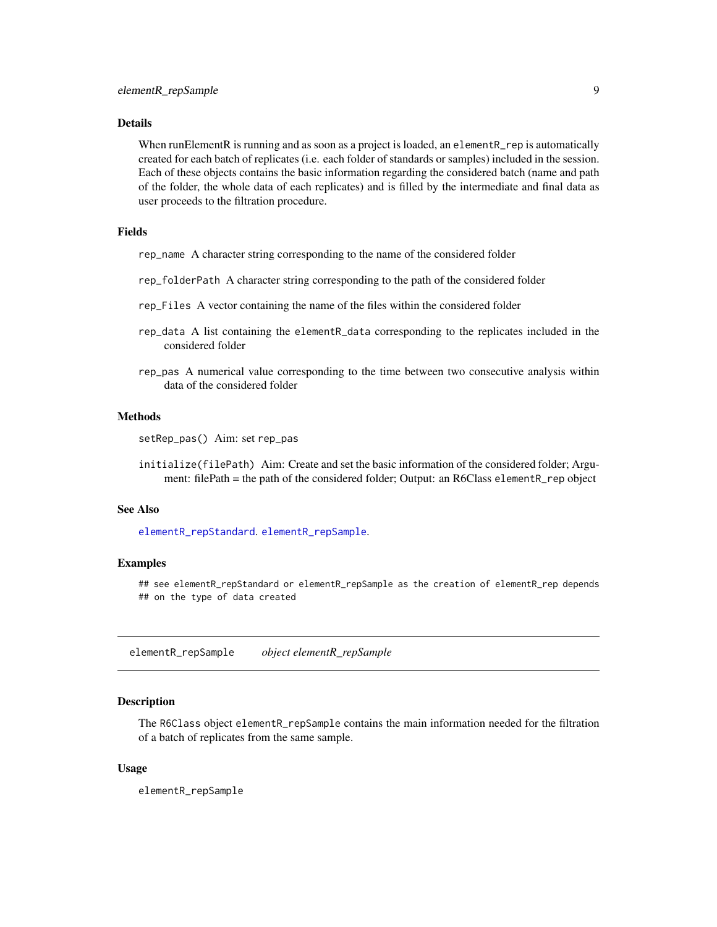#### <span id="page-8-0"></span>Details

When runElementR is running and as soon as a project is loaded, an elementR\_rep is automatically created for each batch of replicates (i.e. each folder of standards or samples) included in the session. Each of these objects contains the basic information regarding the considered batch (name and path of the folder, the whole data of each replicates) and is filled by the intermediate and final data as user proceeds to the filtration procedure.

#### Fields

rep\_name A character string corresponding to the name of the considered folder

- rep\_folderPath A character string corresponding to the path of the considered folder
- rep\_Files A vector containing the name of the files within the considered folder
- rep\_data A list containing the elementR\_data corresponding to the replicates included in the considered folder
- rep\_pas A numerical value corresponding to the time between two consecutive analysis within data of the considered folder

#### Methods

setRep\_pas() Aim: set rep\_pas

initialize(filePath) Aim: Create and set the basic information of the considered folder; Argument: filePath = the path of the considered folder; Output: an R6Class elementR\_rep object

#### See Also

[elementR\\_repStandard](#page-10-1). [elementR\\_repSample](#page-8-1).

#### Examples

## see elementR\_repStandard or elementR\_repSample as the creation of elementR\_rep depends ## on the type of data created

<span id="page-8-1"></span>elementR\_repSample *object elementR\_repSample*

#### Description

The R6Class object elementR\_repSample contains the main information needed for the filtration of a batch of replicates from the same sample.

#### Usage

elementR\_repSample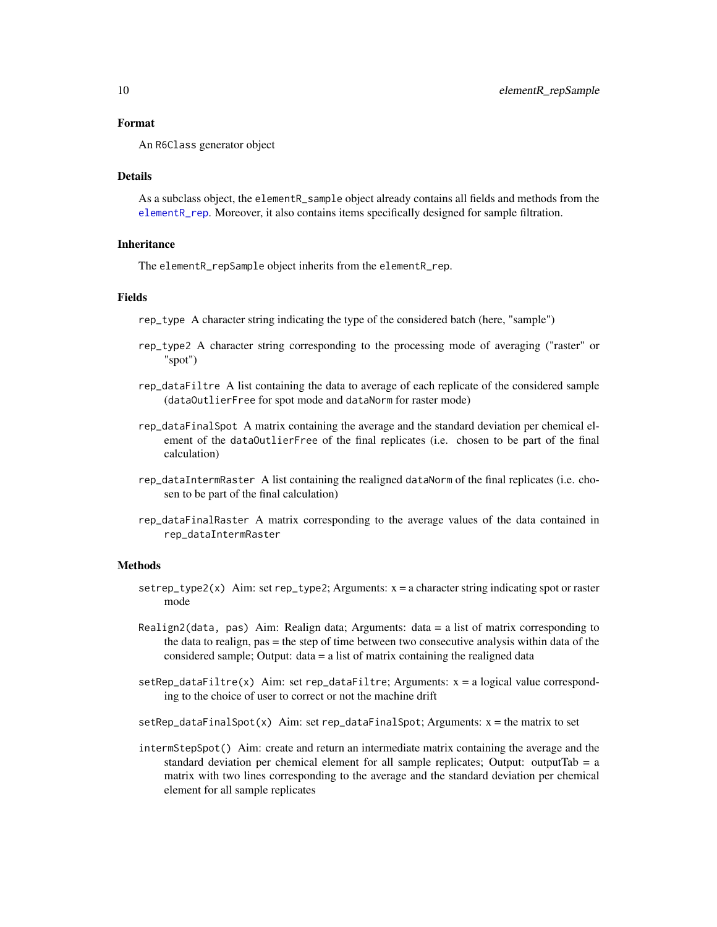#### <span id="page-9-0"></span>Format

An R6Class generator object

#### Details

As a subclass object, the elementR\_sample object already contains all fields and methods from the [elementR\\_rep](#page-7-1). Moreover, it also contains items specifically designed for sample filtration.

#### **Inheritance**

The elementR\_repSample object inherits from the elementR\_rep.

#### Fields

rep\_type A character string indicating the type of the considered batch (here, "sample")

- rep\_type2 A character string corresponding to the processing mode of averaging ("raster" or "spot")
- rep\_dataFiltre A list containing the data to average of each replicate of the considered sample (dataOutlierFree for spot mode and dataNorm for raster mode)
- rep\_dataFinalSpot A matrix containing the average and the standard deviation per chemical element of the dataOutlierFree of the final replicates (i.e. chosen to be part of the final calculation)
- rep\_dataIntermRaster A list containing the realigned dataNorm of the final replicates (i.e. chosen to be part of the final calculation)
- rep\_dataFinalRaster A matrix corresponding to the average values of the data contained in rep\_dataIntermRaster

#### Methods

- $setrep_type2(x)$  Aim: set rep\_type2; Arguments:  $x = a$  character string indicating spot or raster mode
- Realign2(data, pas) Aim: Realign data; Arguments: data = a list of matrix corresponding to the data to realign, pas = the step of time between two consecutive analysis within data of the considered sample; Output: data = a list of matrix containing the realigned data
- $setRep_dataFilter(x)$  Aim: set rep\_dataFiltre; Arguments:  $x = a$  logical value corresponding to the choice of user to correct or not the machine drift

 $setRep_dataFinalSpot(x)$  Aim: set rep\_dataFinalSpot; Arguments:  $x =$  the matrix to set

intermStepSpot() Aim: create and return an intermediate matrix containing the average and the standard deviation per chemical element for all sample replicates; Output: outputTab =  $a$ matrix with two lines corresponding to the average and the standard deviation per chemical element for all sample replicates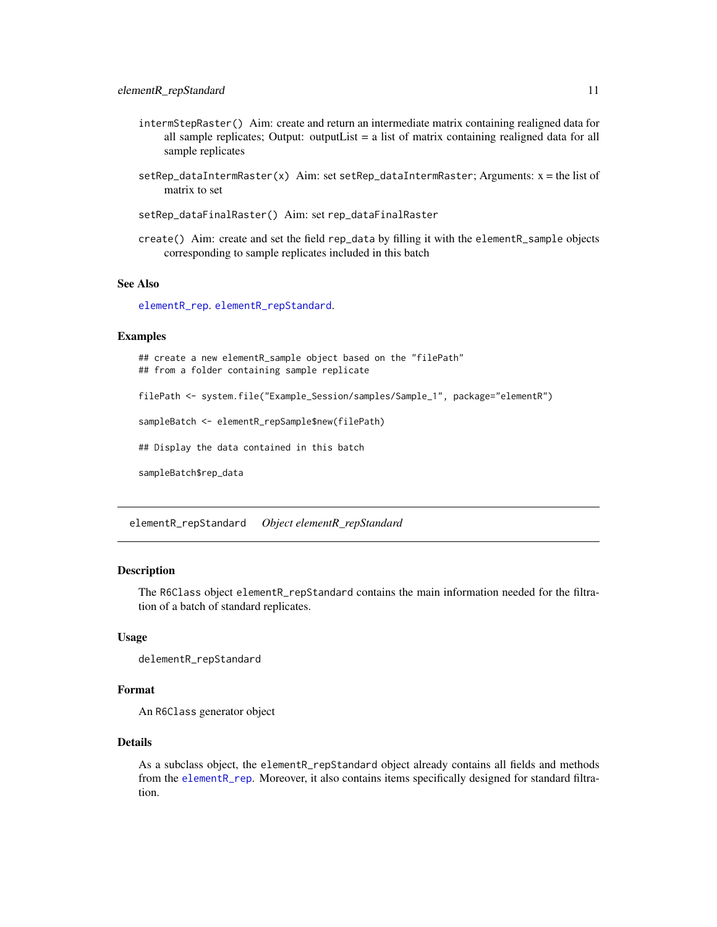- <span id="page-10-0"></span>intermStepRaster() Aim: create and return an intermediate matrix containing realigned data for all sample replicates; Output: outputList = a list of matrix containing realigned data for all sample replicates
- setRep\_dataIntermRaster(x) Aim: set setRep\_dataIntermRaster; Arguments:  $x =$  the list of matrix to set
- setRep\_dataFinalRaster() Aim: set rep\_dataFinalRaster
- create() Aim: create and set the field rep\_data by filling it with the elementR\_sample objects corresponding to sample replicates included in this batch

#### See Also

[elementR\\_rep](#page-7-1). [elementR\\_repStandard](#page-10-1).

#### Examples

## create a new elementR\_sample object based on the "filePath" ## from a folder containing sample replicate

filePath <- system.file("Example\_Session/samples/Sample\_1", package="elementR")

sampleBatch <- elementR\_repSample\$new(filePath)

## Display the data contained in this batch

sampleBatch\$rep\_data

<span id="page-10-1"></span>elementR\_repStandard *Object elementR\_repStandard*

#### Description

The R6Class object elementR\_repStandard contains the main information needed for the filtration of a batch of standard replicates.

#### Usage

delementR\_repStandard

#### Format

An R6Class generator object

#### Details

As a subclass object, the elementR\_repStandard object already contains all fields and methods from the [elementR\\_rep](#page-7-1). Moreover, it also contains items specifically designed for standard filtration.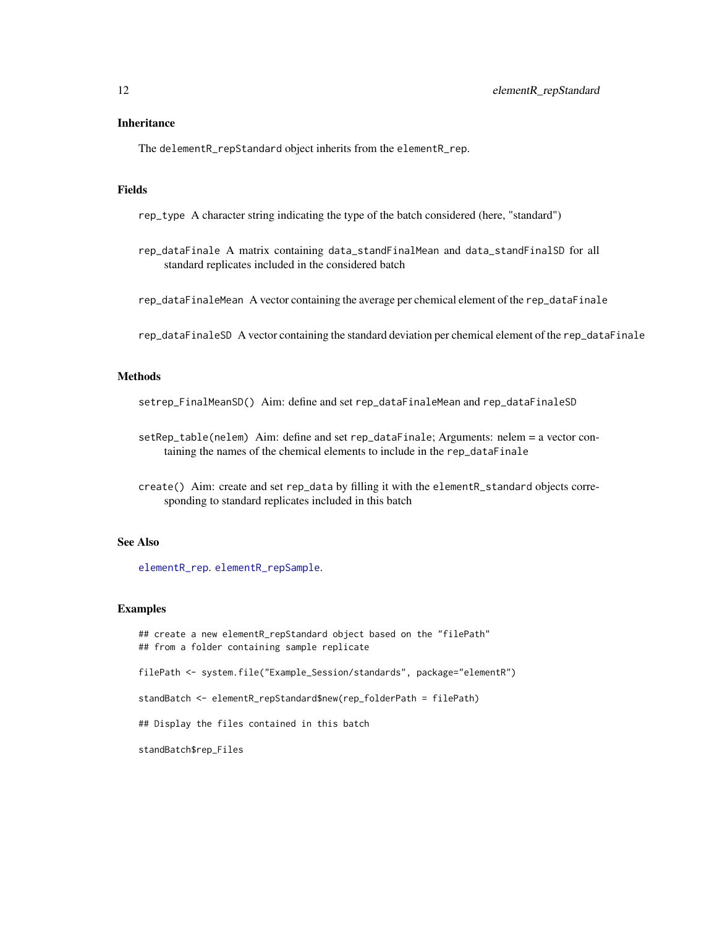#### <span id="page-11-0"></span>**Inheritance**

The delementR\_repStandard object inherits from the elementR\_rep.

#### Fields

rep\_type A character string indicating the type of the batch considered (here, "standard")

rep\_dataFinale A matrix containing data\_standFinalMean and data\_standFinalSD for all standard replicates included in the considered batch

rep\_dataFinaleMean A vector containing the average per chemical element of the rep\_dataFinale

rep\_dataFinaleSD A vector containing the standard deviation per chemical element of the rep\_dataFinale

#### **Methods**

setrep\_FinalMeanSD() Aim: define and set rep\_dataFinaleMean and rep\_dataFinaleSD

- setRep\_table(nelem) Aim: define and set rep\_dataFinale; Arguments: nelem = a vector containing the names of the chemical elements to include in the rep\_dataFinale
- create() Aim: create and set rep\_data by filling it with the elementR\_standard objects corresponding to standard replicates included in this batch

#### See Also

[elementR\\_rep](#page-7-1). [elementR\\_repSample](#page-8-1).

#### Examples

## create a new elementR\_repStandard object based on the "filePath" ## from a folder containing sample replicate filePath <- system.file("Example\_Session/standards", package="elementR") standBatch <- elementR\_repStandard\$new(rep\_folderPath = filePath) ## Display the files contained in this batch standBatch\$rep\_Files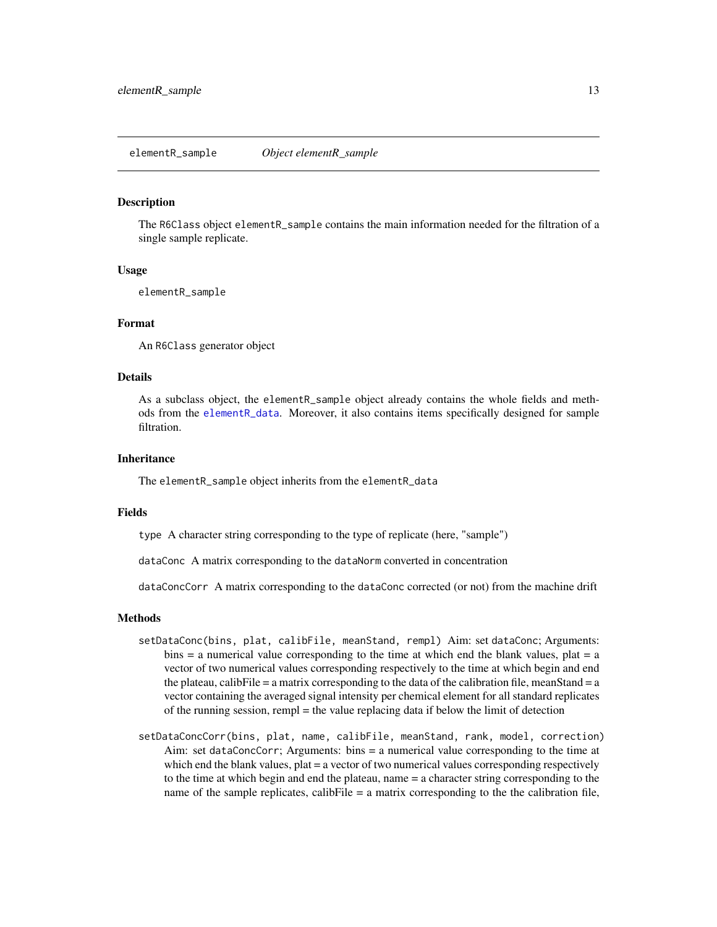#### <span id="page-12-1"></span><span id="page-12-0"></span>Description

The R6Class object elementR\_sample contains the main information needed for the filtration of a single sample replicate.

#### Usage

elementR\_sample

#### Format

An R6Class generator object

#### Details

As a subclass object, the elementR\_sample object already contains the whole fields and methods from the [elementR\\_data](#page-2-1). Moreover, it also contains items specifically designed for sample filtration.

#### **Inheritance**

The elementR\_sample object inherits from the elementR\_data

#### Fields

type A character string corresponding to the type of replicate (here, "sample")

dataConc A matrix corresponding to the dataNorm converted in concentration

dataConcCorr A matrix corresponding to the dataConc corrected (or not) from the machine drift

#### Methods

- setDataConc(bins, plat, calibFile, meanStand, rempl) Aim: set dataConc; Arguments:  $b$ ins = a numerical value corresponding to the time at which end the blank values, plat = a vector of two numerical values corresponding respectively to the time at which begin and end the plateau, calibFile  $=$  a matrix corresponding to the data of the calibration file, meanStand  $=$  a vector containing the averaged signal intensity per chemical element for all standard replicates of the running session, rempl = the value replacing data if below the limit of detection
- setDataConcCorr(bins, plat, name, calibFile, meanStand, rank, model, correction) Aim: set dataConcCorr; Arguments: bins = a numerical value corresponding to the time at which end the blank values, plat = a vector of two numerical values corresponding respectively to the time at which begin and end the plateau, name = a character string corresponding to the name of the sample replicates, calibFile  $=$  a matrix corresponding to the the calibration file,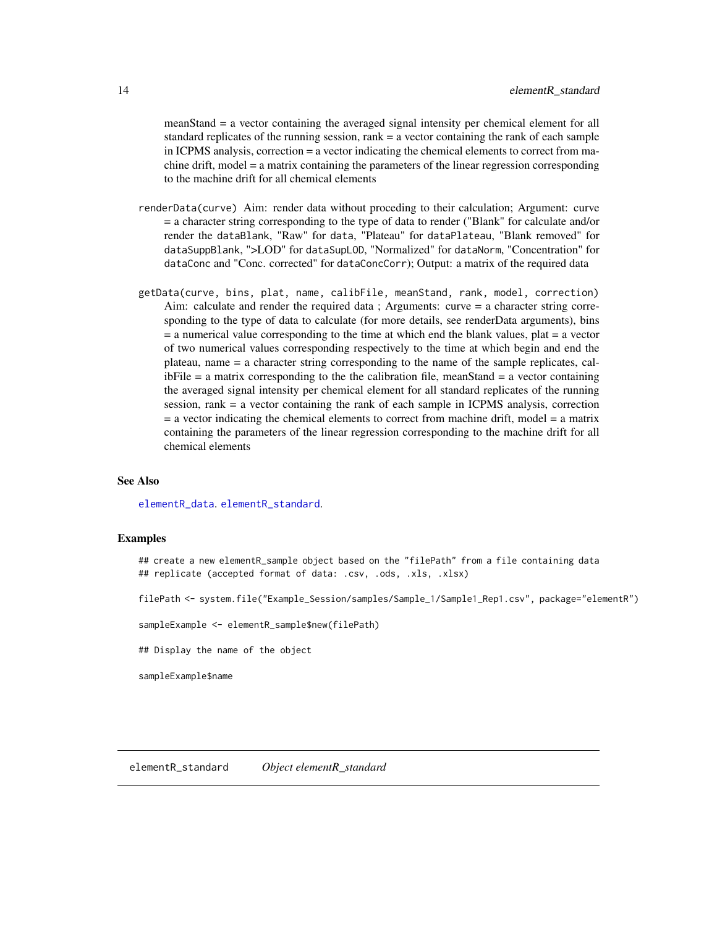<span id="page-13-0"></span>meanStand = a vector containing the averaged signal intensity per chemical element for all standard replicates of the running session, rank = a vector containing the rank of each sample in ICPMS analysis, correction = a vector indicating the chemical elements to correct from machine drift, model = a matrix containing the parameters of the linear regression corresponding to the machine drift for all chemical elements

- renderData(curve) Aim: render data without proceding to their calculation; Argument: curve = a character string corresponding to the type of data to render ("Blank" for calculate and/or render the dataBlank, "Raw" for data, "Plateau" for dataPlateau, "Blank removed" for dataSuppBlank, ">LOD" for dataSupLOD, "Normalized" for dataNorm, "Concentration" for dataConc and "Conc. corrected" for dataConcCorr); Output: a matrix of the required data
- getData(curve, bins, plat, name, calibFile, meanStand, rank, model, correction) Aim: calculate and render the required data ; Arguments: curve = a character string corresponding to the type of data to calculate (for more details, see renderData arguments), bins  $=$  a numerical value corresponding to the time at which end the blank values, plat  $=$  a vector of two numerical values corresponding respectively to the time at which begin and end the plateau, name = a character string corresponding to the name of the sample replicates, cal $i$ bFile = a matrix corresponding to the the calibration file, meanStand = a vector containing the averaged signal intensity per chemical element for all standard replicates of the running session, rank = a vector containing the rank of each sample in ICPMS analysis, correction = a vector indicating the chemical elements to correct from machine drift, model = a matrix containing the parameters of the linear regression corresponding to the machine drift for all chemical elements

#### See Also

[elementR\\_data](#page-2-1). [elementR\\_standard](#page-13-1).

#### Examples

## create a new elementR\_sample object based on the "filePath" from a file containing data ## replicate (accepted format of data: .csv, .ods, .xls, .xlsx)

filePath <- system.file("Example\_Session/samples/Sample\_1/Sample1\_Rep1.csv", package="elementR")

sampleExample <- elementR\_sample\$new(filePath)

## Display the name of the object

sampleExample\$name

<span id="page-13-1"></span>elementR\_standard *Object elementR\_standard*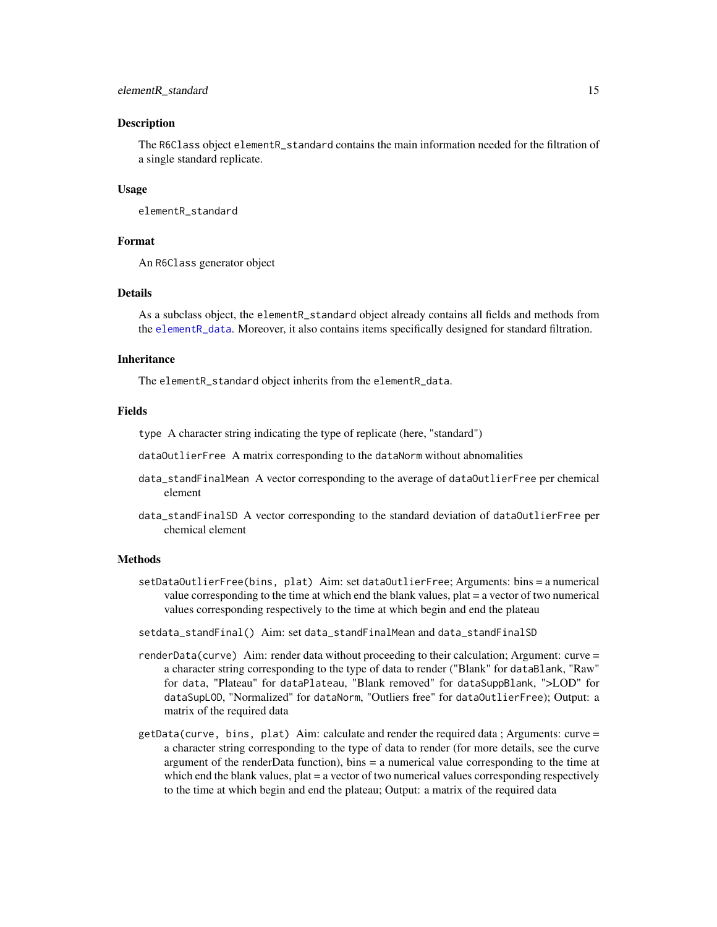#### elementR\_standard 15

#### Description

The R6Class object elementR\_standard contains the main information needed for the filtration of a single standard replicate.

#### Usage

elementR\_standard

#### Format

An R6Class generator object

#### Details

As a subclass object, the elementR\_standard object already contains all fields and methods from the [elementR\\_data](#page-2-1). Moreover, it also contains items specifically designed for standard filtration.

#### Inheritance

The elementR\_standard object inherits from the elementR\_data.

#### Fields

type A character string indicating the type of replicate (here, "standard")

dataOutlierFree A matrix corresponding to the dataNorm without abnomalities

- data\_standFinalMean A vector corresponding to the average of dataOutlierFree per chemical element
- data\_standFinalSD A vector corresponding to the standard deviation of dataOutlierFree per chemical element

#### Methods

- setDataOutlierFree(bins, plat) Aim: set dataOutlierFree; Arguments: bins = a numerical value corresponding to the time at which end the blank values, plat = a vector of two numerical values corresponding respectively to the time at which begin and end the plateau
- setdata\_standFinal() Aim: set data\_standFinalMean and data\_standFinalSD
- renderData(curve) Aim: render data without proceeding to their calculation; Argument: curve = a character string corresponding to the type of data to render ("Blank" for dataBlank, "Raw" for data, "Plateau" for dataPlateau, "Blank removed" for dataSuppBlank, ">LOD" for dataSupLOD, "Normalized" for dataNorm, "Outliers free" for dataOutlierFree); Output: a matrix of the required data
- $getData(curve, bins, plat)$  Aim: calculate and render the required data; Arguments: curve = a character string corresponding to the type of data to render (for more details, see the curve argument of the renderData function), bins = a numerical value corresponding to the time at which end the blank values,  $plat = a$  vector of two numerical values corresponding respectively to the time at which begin and end the plateau; Output: a matrix of the required data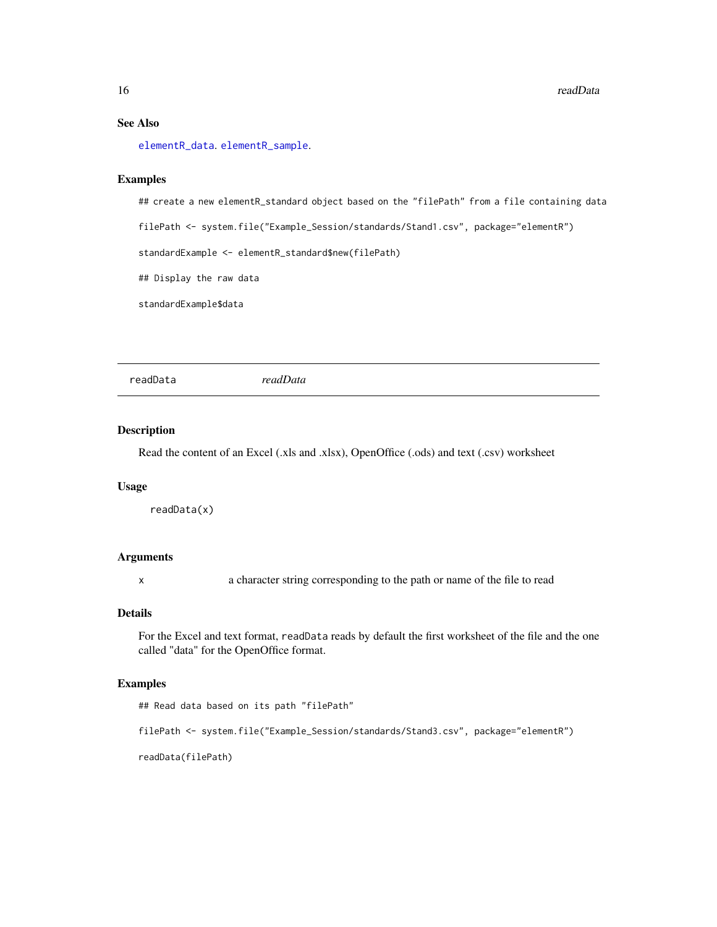#### See Also

[elementR\\_data](#page-2-1). [elementR\\_sample](#page-12-1).

#### Examples

## create a new elementR\_standard object based on the "filePath" from a file containing data

filePath <- system.file("Example\_Session/standards/Stand1.csv", package="elementR")

standardExample <- elementR\_standard\$new(filePath)

## Display the raw data

standardExample\$data

readData *readData*

#### Description

Read the content of an Excel (.xls and .xlsx), OpenOffice (.ods) and text (.csv) worksheet

#### Usage

readData(x)

#### Arguments

x a character string corresponding to the path or name of the file to read

#### Details

For the Excel and text format, readData reads by default the first worksheet of the file and the one called "data" for the OpenOffice format.

#### Examples

```
## Read data based on its path "filePath"
filePath <- system.file("Example_Session/standards/Stand3.csv", package="elementR")
readData(filePath)
```
<span id="page-15-0"></span>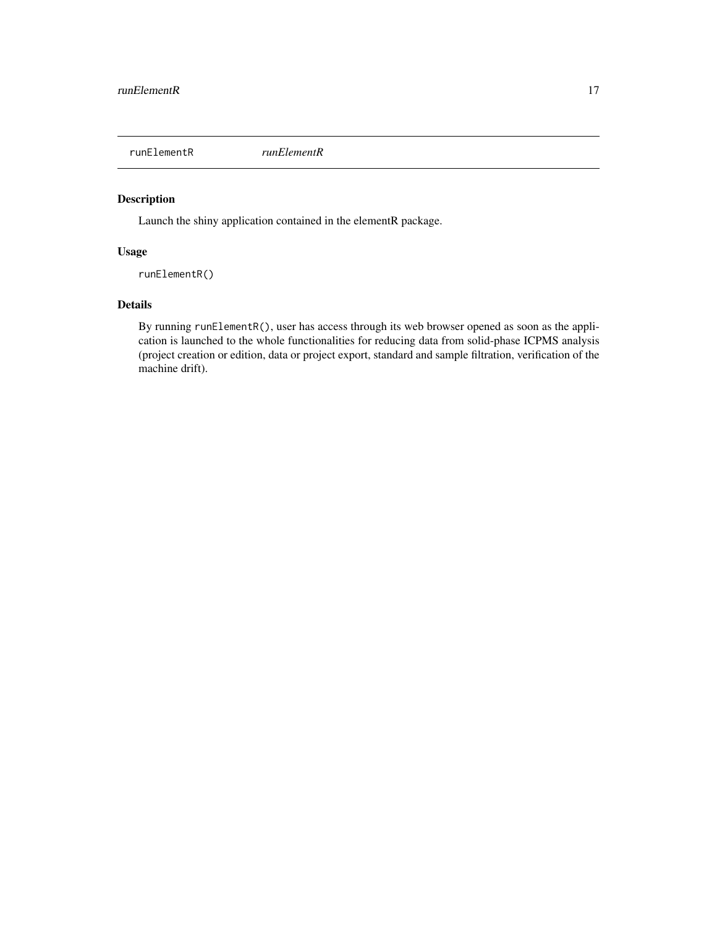<span id="page-16-1"></span><span id="page-16-0"></span>runElementR *runElementR*

#### Description

Launch the shiny application contained in the elementR package.

#### Usage

runElementR()

#### Details

By running runElementR(), user has access through its web browser opened as soon as the application is launched to the whole functionalities for reducing data from solid-phase ICPMS analysis (project creation or edition, data or project export, standard and sample filtration, verification of the machine drift).